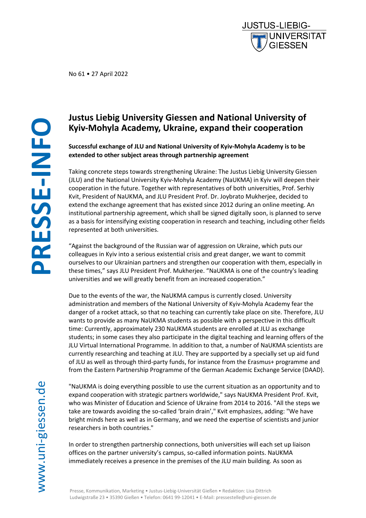No 61 • 27 April 2022

# **Justus Liebig University Giessen and National University of Kyiv-Mohyla Academy, Ukraine, expand their cooperation**

**Successful exchange of JLU and National University of Kyiv-Mohyla Academy is to be extended to other subject areas through partnership agreement**

Taking concrete steps towards strengthening Ukraine: The Justus Liebig University Giessen (JLU) and the National University Kyiv-Mohyla Academy (NaUKMA) in Kyiv will deepen their cooperation in the future. Together with representatives of both universities, Prof. Serhiy Kvit, President of NaUKMA, and JLU President Prof. Dr. Joybrato Mukherjee, decided to extend the exchange agreement that has existed since 2012 during an online meeting. An institutional partnership agreement, which shall be signed digitally soon, is planned to serve as a basis for intensifying existing cooperation in research and teaching, including other fields represented at both universities.

"Against the background of the Russian war of aggression on Ukraine, which puts our colleagues in Kyiv into a serious existential crisis and great danger, we want to commit ourselves to our Ukrainian partners and strengthen our cooperation with them, especially in these times," says JLU President Prof. Mukherjee. "NaUKMA is one of the country's leading universities and we will greatly benefit from an increased cooperation."

Due to the events of the war, the NaUKMA campus is currently closed. University administration and members of the National University of Kyiv-Mohyla Academy fear the danger of a rocket attack, so that no teaching can currently take place on site. Therefore, JLU wants to provide as many NaUKMA students as possible with a perspective in this difficult time: Currently, approximately 230 NaUKMA students are enrolled at JLU as exchange students; in some cases they also participate in the digital teaching and learning offers of the JLU Virtual International Programme. In addition to that, a number of NaUKMA scientists are currently researching and teaching at JLU. They are supported by a specially set up aid fund of JLU as well as through third-party funds, for instance from the Erasmus+ programme and from the Eastern Partnership Programme of the German Academic Exchange Service (DAAD).

"NaUKMA is doing everything possible to use the current situation as an opportunity and to expand cooperation with strategic partners worldwide," says NaUKMA President Prof. Kvit, who was Minister of Education and Science of Ukraine from 2014 to 2016. "All the steps we take are towards avoiding the so-called 'brain drain'," Kvit emphasizes, adding: "We have bright minds here as well as in Germany, and we need the expertise of scientists and junior researchers in both countries."

In order to strengthen partnership connections, both universities will each set up liaison offices on the partner university's campus, so-called information points. NaUKMA immediately receives a presence in the premises of the JLU main building. As soon as

Presse, Kommunikation, Marketing • Justus-Liebig-Universität Gießen • Redaktion: Lisa Dittrich Ludwigstraße 23 • 35390 Gießen • Telefon: 0641 99-12041 • E-Mail: pressestelle@uni-giessen.de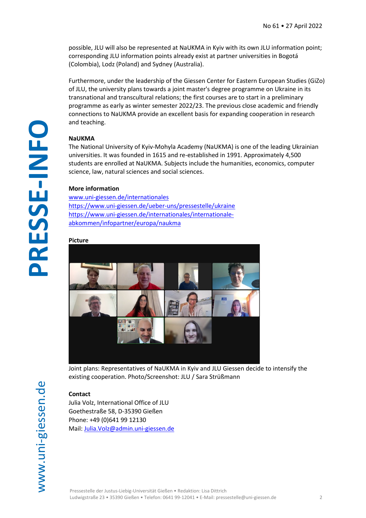possible, JLU will also be represented at NaUKMA in Kyiv with its own JLU information point; corresponding JLU information points already exist at partner universities in Bogotá (Colombia), Lodz (Poland) and Sydney (Australia).

Furthermore, under the leadership of the Giessen Center for Eastern European Studies (GiZo) of JLU, the university plans towards a joint master's degree programme on Ukraine in its transnational and transcultural relations; the first courses are to start in a preliminary programme as early as winter semester 2022/23. The previous close academic and friendly connections to NaUKMA provide an excellent basis for expanding cooperation in research and teaching.

### **NaUKMA**

The National University of Kyiv-Mohyla Academy (NaUKMA) is one of the leading Ukrainian universities. It was founded in 1615 and re-established in 1991. Approximately 4,500 students are enrolled at NaUKMA. Subjects include the humanities, economics, computer science, law, natural sciences and social sciences.

#### **More information**

[www.uni-giessen.de/internationales](http://www.uni-giessen.de/internationales) <https://www.uni-giessen.de/ueber-uns/pressestelle/ukraine> [https://www.uni-giessen.de/internationales/internationale](https://www.uni-giessen.de/internationales/internationale-abkommen/infopartner/europa/naukma)[abkommen/infopartner/europa/naukma](https://www.uni-giessen.de/internationales/internationale-abkommen/infopartner/europa/naukma)

#### **Picture**



Joint plans: Representatives of NaUKMA in Kyiv and JLU Giessen decide to intensify the existing cooperation. Photo/Screenshot: JLU / Sara Strüßmann

**PRESSE**

**-INFO**

## **Contact**

Julia Volz, International Office of JLU Goethestraße 58, D-35390 Gießen Phone: +49 (0)641 99 12130 Mail: [Julia.Volz@admin.uni-giessen.de](mailto:Julia.Volz@admin.uni-giessen.de)